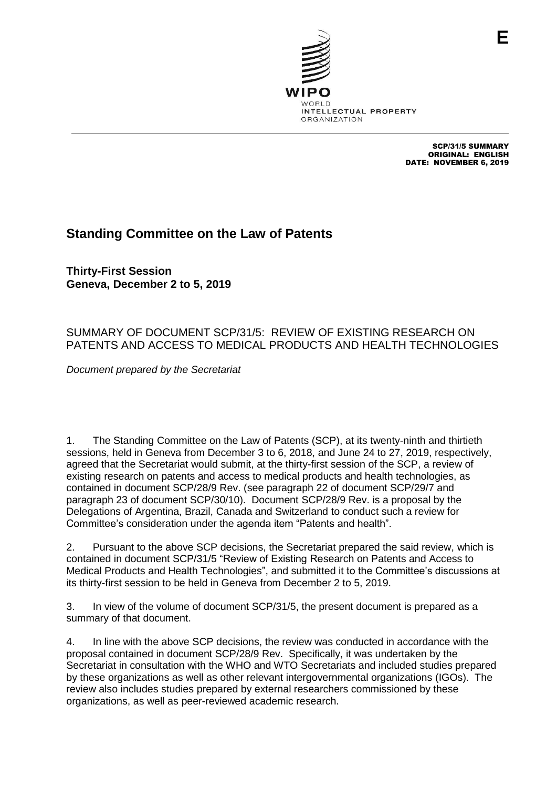

SCP/31/5 SUMMARY ORIGINAL: ENGLISH DATE: NOVEMBER 6, 2019

## **Standing Committee on the Law of Patents**

**Thirty-First Session Geneva, December 2 to 5, 2019**

## SUMMARY OF DOCUMENT SCP/31/5: REVIEW OF EXISTING RESEARCH ON PATENTS AND ACCESS TO MEDICAL PRODUCTS AND HEALTH TECHNOLOGIES

*Document prepared by the Secretariat*

1. The Standing Committee on the Law of Patents (SCP), at its twenty-ninth and thirtieth sessions, held in Geneva from December 3 to 6, 2018, and June 24 to 27, 2019, respectively, agreed that the Secretariat would submit, at the thirty-first session of the SCP, a review of existing research on patents and access to medical products and health technologies, as contained in document SCP/28/9 Rev. (see paragraph 22 of document SCP/29/7 and paragraph 23 of document SCP/30/10). Document SCP/28/9 Rev. is a proposal by the Delegations of Argentina, Brazil, Canada and Switzerland to conduct such a review for Committee's consideration under the agenda item "Patents and health".

2. Pursuant to the above SCP decisions, the Secretariat prepared the said review, which is contained in document SCP/31/5 "Review of Existing Research on Patents and Access to Medical Products and Health Technologies", and submitted it to the Committee's discussions at its thirty-first session to be held in Geneva from December 2 to 5, 2019.

3. In view of the volume of document SCP/31/5, the present document is prepared as a summary of that document.

4. In line with the above SCP decisions, the review was conducted in accordance with the proposal contained in document SCP/28/9 Rev. Specifically, it was undertaken by the Secretariat in consultation with the WHO and WTO Secretariats and included studies prepared by these organizations as well as other relevant intergovernmental organizations (IGOs). The review also includes studies prepared by external researchers commissioned by these organizations, as well as peer-reviewed academic research.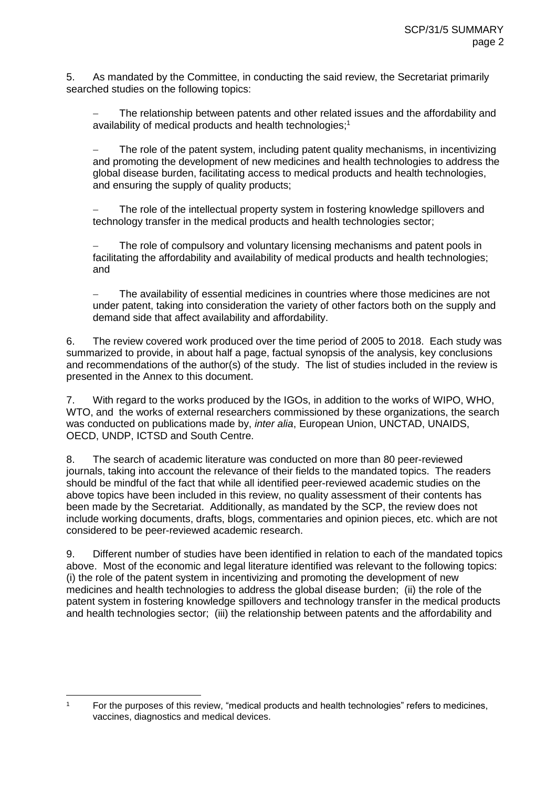5. As mandated by the Committee, in conducting the said review, the Secretariat primarily searched studies on the following topics:

 The relationship between patents and other related issues and the affordability and availability of medical products and health technologies;<sup>1</sup>

 The role of the patent system, including patent quality mechanisms, in incentivizing and promoting the development of new medicines and health technologies to address the global disease burden, facilitating access to medical products and health technologies, and ensuring the supply of quality products;

 The role of the intellectual property system in fostering knowledge spillovers and technology transfer in the medical products and health technologies sector;

 The role of compulsory and voluntary licensing mechanisms and patent pools in facilitating the affordability and availability of medical products and health technologies; and

 The availability of essential medicines in countries where those medicines are not under patent, taking into consideration the variety of other factors both on the supply and demand side that affect availability and affordability.

6. The review covered work produced over the time period of 2005 to 2018. Each study was summarized to provide, in about half a page, factual synopsis of the analysis, key conclusions and recommendations of the author(s) of the study. The list of studies included in the review is presented in the Annex to this document.

7. With regard to the works produced by the IGOs, in addition to the works of WIPO, WHO, WTO, and the works of external researchers commissioned by these organizations, the search was conducted on publications made by, *inter alia*, European Union, UNCTAD, UNAIDS, OECD, UNDP, ICTSD and South Centre.

8. The search of academic literature was conducted on more than 80 peer-reviewed journals, taking into account the relevance of their fields to the mandated topics. The readers should be mindful of the fact that while all identified peer-reviewed academic studies on the above topics have been included in this review, no quality assessment of their contents has been made by the Secretariat. Additionally, as mandated by the SCP, the review does not include working documents, drafts, blogs, commentaries and opinion pieces, etc. which are not considered to be peer-reviewed academic research.

9. Different number of studies have been identified in relation to each of the mandated topics above. Most of the economic and legal literature identified was relevant to the following topics: (i) the role of the patent system in incentivizing and promoting the development of new medicines and health technologies to address the global disease burden; (ii) the role of the patent system in fostering knowledge spillovers and technology transfer in the medical products and health technologies sector; (iii) the relationship between patents and the affordability and

 $\mathbf{1}$ 

<sup>1</sup> For the purposes of this review, "medical products and health technologies" refers to medicines, vaccines, diagnostics and medical devices.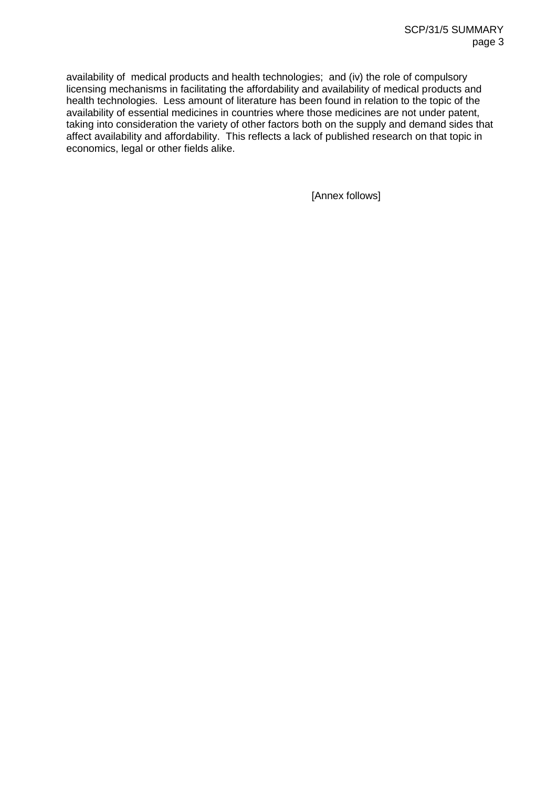availability of medical products and health technologies; and (iv) the role of compulsory licensing mechanisms in facilitating the affordability and availability of medical products and health technologies. Less amount of literature has been found in relation to the topic of the availability of essential medicines in countries where those medicines are not under patent, taking into consideration the variety of other factors both on the supply and demand sides that affect availability and affordability. This reflects a lack of published research on that topic in economics, legal or other fields alike.

[Annex follows]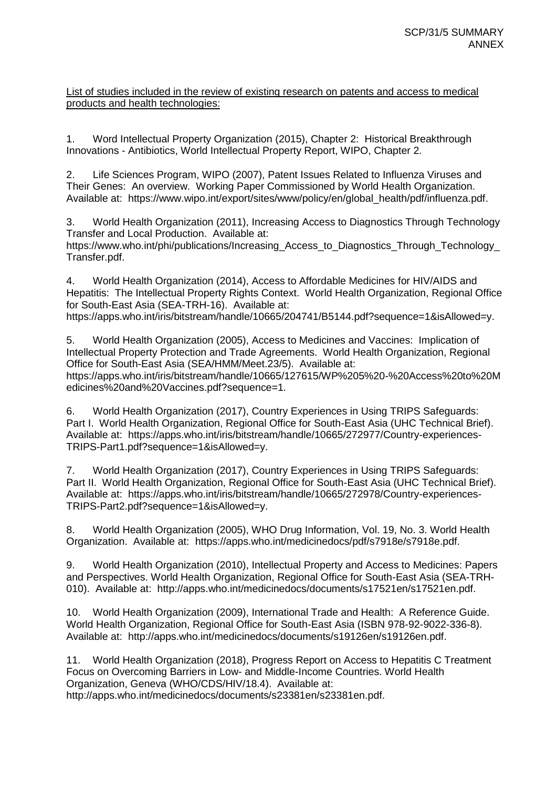## List of studies included in the review of existing research on patents and access to medical products and health technologies:

1. Word Intellectual Property Organization (2015), Chapter 2: Historical Breakthrough Innovations - Antibiotics, World Intellectual Property Report, WIPO, Chapter 2.

2. Life Sciences Program, WIPO (2007), Patent Issues Related to Influenza Viruses and Their Genes: An overview. Working Paper Commissioned by World Health Organization. Available at: https://www.wipo.int/export/sites/www/policy/en/global\_health/pdf/influenza.pdf.

3. World Health Organization (2011), Increasing Access to Diagnostics Through Technology Transfer and Local Production. Available at:

https://www.who.int/phi/publications/Increasing\_Access\_to\_Diagnostics\_Through\_Technology\_ Transfer.pdf.

4. World Health Organization (2014), Access to Affordable Medicines for HIV/AIDS and Hepatitis: The Intellectual Property Rights Context. World Health Organization, Regional Office for South-East Asia (SEA-TRH-16). Available at: https://apps.who.int/iris/bitstream/handle/10665/204741/B5144.pdf?sequence=1&isAllowed=y.

5. World Health Organization (2005), Access to Medicines and Vaccines: Implication of Intellectual Property Protection and Trade Agreements. World Health Organization, Regional Office for South-East Asia (SEA/HMM/Meet.23/5). Available at: https://apps.who.int/iris/bitstream/handle/10665/127615/WP%205%20-%20Access%20to%20M edicines%20and%20Vaccines.pdf?sequence=1.

6. World Health Organization (2017), Country Experiences in Using TRIPS Safeguards: Part I. World Health Organization, Regional Office for South-East Asia (UHC Technical Brief). Available at: https://apps.who.int/iris/bitstream/handle/10665/272977/Country-experiences-TRIPS-Part1.pdf?sequence=1&isAllowed=y.

7. World Health Organization (2017), Country Experiences in Using TRIPS Safeguards: Part II. World Health Organization, Regional Office for South-East Asia (UHC Technical Brief). Available at: https://apps.who.int/iris/bitstream/handle/10665/272978/Country-experiences-TRIPS-Part2.pdf?sequence=1&isAllowed=y.

8. World Health Organization (2005), WHO Drug Information, Vol. 19, No. 3. World Health Organization. Available at: https://apps.who.int/medicinedocs/pdf/s7918e/s7918e.pdf.

9. World Health Organization (2010), Intellectual Property and Access to Medicines: Papers and Perspectives. World Health Organization, Regional Office for South-East Asia (SEA-TRH-010). Available at: http://apps.who.int/medicinedocs/documents/s17521en/s17521en.pdf.

10. World Health Organization (2009), International Trade and Health: A Reference Guide. World Health Organization, Regional Office for South-East Asia (ISBN 978-92-9022-336-8). Available at: http://apps.who.int/medicinedocs/documents/s19126en/s19126en.pdf.

11. World Health Organization (2018), Progress Report on Access to Hepatitis C Treatment Focus on Overcoming Barriers in Low- and Middle-Income Countries. World Health Organization, Geneva (WHO/CDS/HIV/18.4). Available at: http://apps.who.int/medicinedocs/documents/s23381en/s23381en.pdf.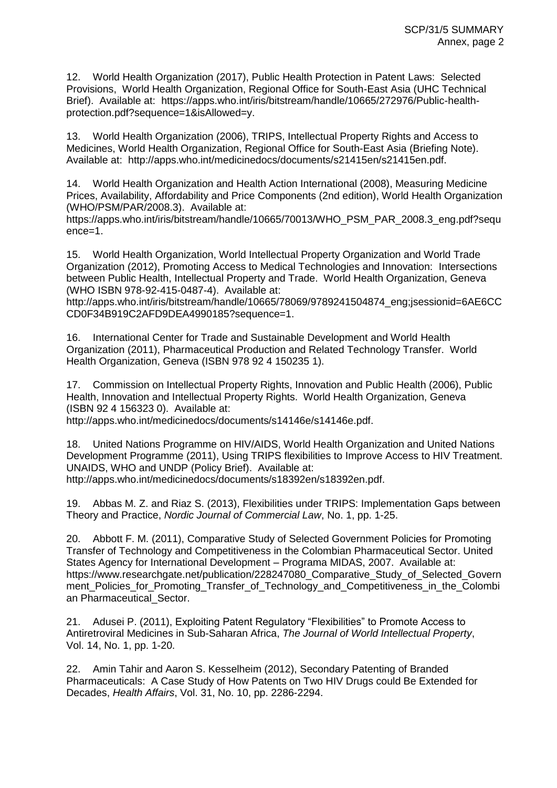12. World Health Organization (2017), Public Health Protection in Patent Laws: Selected Provisions, World Health Organization, Regional Office for South-East Asia (UHC Technical Brief). Available at: https://apps.who.int/iris/bitstream/handle/10665/272976/Public-healthprotection.pdf?sequence=1&isAllowed=y.

13. World Health Organization (2006), TRIPS, Intellectual Property Rights and Access to Medicines, World Health Organization, Regional Office for South-East Asia (Briefing Note). Available at: http://apps.who.int/medicinedocs/documents/s21415en/s21415en.pdf.

14. World Health Organization and Health Action International (2008), Measuring Medicine Prices, Availability, Affordability and Price Components (2nd edition), World Health Organization (WHO/PSM/PAR/2008.3). Available at:

https://apps.who.int/iris/bitstream/handle/10665/70013/WHO\_PSM\_PAR\_2008.3\_eng.pdf?sequ ence=1.

15. World Health Organization, World Intellectual Property Organization and World Trade Organization (2012), Promoting Access to Medical Technologies and Innovation: Intersections between Public Health, Intellectual Property and Trade. World Health Organization, Geneva (WHO ISBN 978-92-415-0487-4). Available at:

http://apps.who.int/iris/bitstream/handle/10665/78069/9789241504874\_eng;jsessionid=6AE6CC CD0F34B919C2AFD9DEA4990185?sequence=1.

16. International Center for Trade and Sustainable Development and World Health Organization (2011), Pharmaceutical Production and Related Technology Transfer. World Health Organization, Geneva (ISBN 978 92 4 150235 1).

17. Commission on Intellectual Property Rights, Innovation and Public Health (2006), Public Health, Innovation and Intellectual Property Rights. World Health Organization, Geneva (ISBN 92 4 156323 0). Available at:

http://apps.who.int/medicinedocs/documents/s14146e/s14146e.pdf.

18. United Nations Programme on HIV/AIDS, World Health Organization and United Nations Development Programme (2011), Using TRIPS flexibilities to Improve Access to HIV Treatment. UNAIDS, WHO and UNDP (Policy Brief). Available at: http://apps.who.int/medicinedocs/documents/s18392en/s18392en.pdf.

19. Abbas M. Z. and Riaz S. (2013), Flexibilities under TRIPS: Implementation Gaps between Theory and Practice, *Nordic Journal of Commercial Law*, No. 1, pp. 1-25.

20. Abbott F. M. (2011), Comparative Study of Selected Government Policies for Promoting Transfer of Technology and Competitiveness in the Colombian Pharmaceutical Sector. United States Agency for International Development – Programa MIDAS, 2007. Available at: https://www.researchgate.net/publication/228247080\_Comparative\_Study\_of\_Selected\_Govern ment\_Policies\_for\_Promoting\_Transfer\_of\_Technology\_and\_Competitiveness\_in\_the\_Colombi an Pharmaceutical\_Sector.

21. Adusei P. (2011), Exploiting Patent Regulatory "Flexibilities" to Promote Access to Antiretroviral Medicines in Sub-Saharan Africa, *The Journal of World Intellectual Property*, Vol. 14, No. 1, pp. 1-20.

22. Amin Tahir and Aaron S. Kesselheim (2012), Secondary Patenting of Branded Pharmaceuticals: A Case Study of How Patents on Two HIV Drugs could Be Extended for Decades, *Health Affairs*, Vol. 31, No. 10, pp. 2286-2294.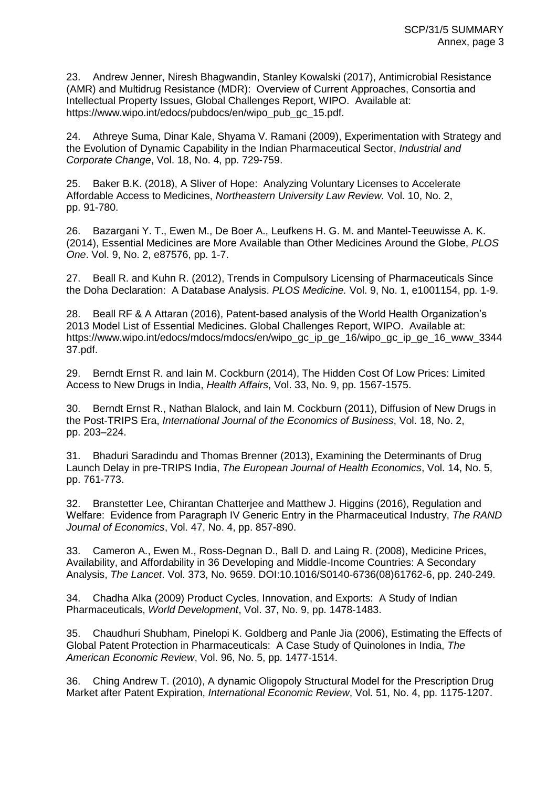23. Andrew Jenner, Niresh Bhagwandin, Stanley Kowalski (2017), Antimicrobial Resistance (AMR) and Multidrug Resistance (MDR): Overview of Current Approaches, Consortia and Intellectual Property Issues, Global Challenges Report, WIPO. Available at: https://www.wipo.int/edocs/pubdocs/en/wipo\_pub\_gc\_15.pdf.

24. Athreye Suma, Dinar Kale, Shyama V. Ramani (2009), Experimentation with Strategy and the Evolution of Dynamic Capability in the Indian Pharmaceutical Sector, *Industrial and Corporate Change*, Vol. 18, No. 4, pp. 729-759.

25. Baker B.K. (2018), A Sliver of Hope: Analyzing Voluntary Licenses to Accelerate Affordable Access to Medicines, *Northeastern University Law Review.* Vol. 10, No. 2, pp. 91-780.

26. Bazargani Y. T., Ewen M., De Boer A., Leufkens H. G. M. and Mantel-Teeuwisse A. K. (2014), Essential Medicines are More Available than Other Medicines Around the Globe, *PLOS One*. Vol. 9, No. 2, e87576, pp. 1-7.

27. Beall R. and Kuhn R. (2012), Trends in Compulsory Licensing of Pharmaceuticals Since the Doha Declaration: A Database Analysis. *PLOS Medicine.* Vol. 9, No. 1, e1001154, pp. 1-9.

28. Beall RF & A Attaran (2016), Patent-based analysis of the World Health Organization's 2013 Model List of Essential Medicines. Global Challenges Report, WIPO. Available at: https://www.wipo.int/edocs/mdocs/mdocs/en/wipo\_gc\_ip\_ge\_16/wipo\_gc\_ip\_ge\_16\_www\_3344 37.pdf.

29. Berndt Ernst R. and Iain M. Cockburn (2014), The Hidden Cost Of Low Prices: Limited Access to New Drugs in India, *Health Affairs*, Vol. 33, No. 9, pp. 1567-1575.

30. Berndt Ernst R., Nathan Blalock, and Iain M. Cockburn (2011), Diffusion of New Drugs in the Post-TRIPS Era, *International Journal of the Economics of Business*, Vol. 18, No. 2, pp. 203–224.

31. Bhaduri Saradindu and Thomas Brenner (2013), Examining the Determinants of Drug Launch Delay in pre-TRIPS India, *The European Journal of Health Economics*, Vol. 14, No. 5, pp. 761-773.

32. Branstetter Lee, Chirantan Chatterjee and Matthew J. Higgins (2016), Regulation and Welfare: Evidence from Paragraph IV Generic Entry in the Pharmaceutical Industry, *The RAND Journal of Economics*, Vol. 47, No. 4, pp. 857-890.

33. Cameron A., Ewen M., Ross-Degnan D., Ball D. and Laing R. (2008), Medicine Prices, Availability, and Affordability in 36 Developing and Middle-Income Countries: A Secondary Analysis, *The Lancet*. Vol. 373, No. 9659. DOI:10.1016/S0140-6736(08)61762-6, pp. 240-249.

34. Chadha Alka (2009) Product Cycles, Innovation, and Exports: A Study of Indian Pharmaceuticals, *World Development*, Vol. 37, No. 9, pp. 1478-1483.

35. Chaudhuri Shubham, Pinelopi K. Goldberg and Panle Jia (2006), Estimating the Effects of Global Patent Protection in Pharmaceuticals: A Case Study of Quinolones in India, *The American Economic Review*, Vol. 96, No. 5, pp. 1477-1514.

36. Ching Andrew T. (2010), A dynamic Oligopoly Structural Model for the Prescription Drug Market after Patent Expiration, *International Economic Review*, Vol. 51, No. 4, pp. 1175-1207.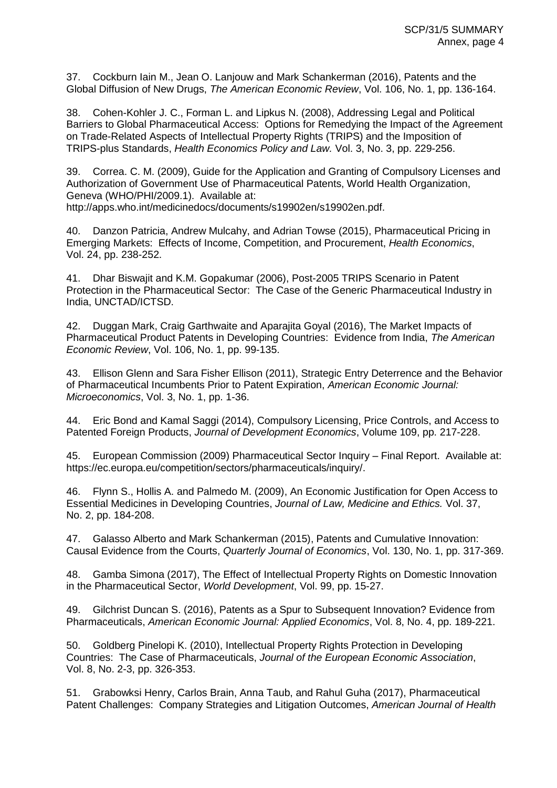37. Cockburn Iain M., Jean O. Lanjouw and Mark Schankerman (2016), Patents and the Global Diffusion of New Drugs, *The American Economic Review*, Vol. 106, No. 1, pp. 136-164.

38. Cohen-Kohler J. C., Forman L. and Lipkus N. (2008), Addressing Legal and Political Barriers to Global Pharmaceutical Access: Options for Remedying the Impact of the Agreement on Trade-Related Aspects of Intellectual Property Rights (TRIPS) and the Imposition of TRIPS-plus Standards, *Health Economics Policy and Law.* Vol. 3, No. 3, pp. 229-256.

39. Correa. C. M. (2009), Guide for the Application and Granting of Compulsory Licenses and Authorization of Government Use of Pharmaceutical Patents, World Health Organization, Geneva (WHO/PHI/2009.1). Available at: http://apps.who.int/medicinedocs/documents/s19902en/s19902en.pdf.

40. Danzon Patricia, Andrew Mulcahy, and Adrian Towse (2015), Pharmaceutical Pricing in Emerging Markets: Effects of Income, Competition, and Procurement, *Health Economics*, Vol. 24, pp. 238-252.

41. Dhar Biswajit and K.M. Gopakumar (2006), Post-2005 TRIPS Scenario in Patent Protection in the Pharmaceutical Sector: The Case of the Generic Pharmaceutical Industry in India, UNCTAD/ICTSD.

42. Duggan Mark, Craig Garthwaite and Aparajita Goyal (2016), The Market Impacts of Pharmaceutical Product Patents in Developing Countries: Evidence from India, *The American Economic Review*, Vol. 106, No. 1, pp. 99-135.

43. Ellison Glenn and Sara Fisher Ellison (2011), Strategic Entry Deterrence and the Behavior of Pharmaceutical Incumbents Prior to Patent Expiration, *American Economic Journal: Microeconomics*, Vol. 3, No. 1, pp. 1-36.

44. Eric Bond and Kamal Saggi (2014), Compulsory Licensing, Price Controls, and Access to Patented Foreign Products, *Journal of Development Economics*, Volume 109, pp. 217-228.

45. European Commission (2009) Pharmaceutical Sector Inquiry – Final Report. Available at: https://ec.europa.eu/competition/sectors/pharmaceuticals/inquiry/.

46. Flynn S., Hollis A. and Palmedo M. (2009), An Economic Justification for Open Access to Essential Medicines in Developing Countries, *Journal of Law, Medicine and Ethics.* Vol. 37, No. 2, pp. 184-208.

47. Galasso Alberto and Mark Schankerman (2015), Patents and Cumulative Innovation: Causal Evidence from the Courts, *Quarterly Journal of Economics*, Vol. 130, No. 1, pp. 317-369.

48. Gamba Simona (2017), The Effect of Intellectual Property Rights on Domestic Innovation in the Pharmaceutical Sector, *World Development*, Vol. 99, pp. 15-27.

49. Gilchrist Duncan S. (2016), Patents as a Spur to Subsequent Innovation? Evidence from Pharmaceuticals, *American Economic Journal: Applied Economics*, Vol. 8, No. 4, pp. 189-221.

50. Goldberg Pinelopi K. (2010), Intellectual Property Rights Protection in Developing Countries: The Case of Pharmaceuticals, *Journal of the European Economic Association*, Vol. 8, No. 2-3, pp. 326-353.

51. Grabowksi Henry, Carlos Brain, Anna Taub, and Rahul Guha (2017), Pharmaceutical Patent Challenges: Company Strategies and Litigation Outcomes, *American Journal of Health*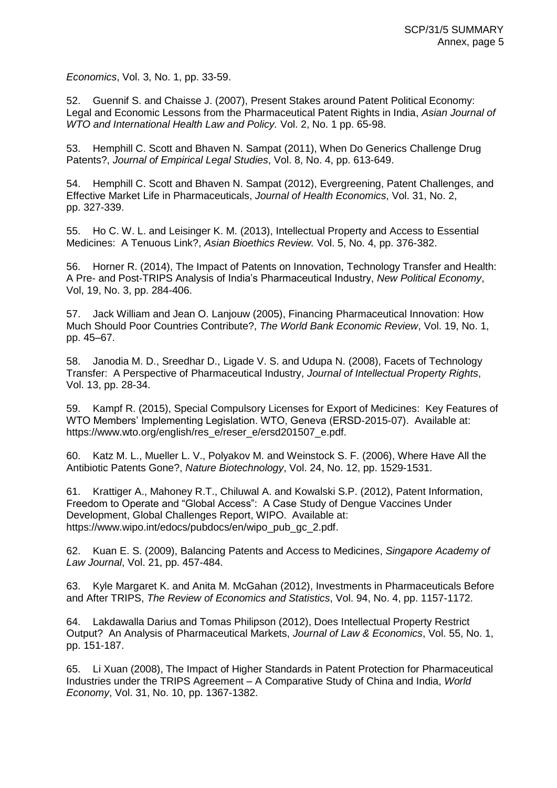*Economics*, Vol. 3, No. 1, pp. 33-59.

52. Guennif S. and Chaisse J. (2007), Present Stakes around Patent Political Economy: Legal and Economic Lessons from the Pharmaceutical Patent Rights in India, *Asian Journal of WTO and International Health Law and Policy.* Vol. 2, No. 1 pp. 65-98.

53. Hemphill C. Scott and Bhaven N. Sampat (2011), When Do Generics Challenge Drug Patents?, *Journal of Empirical Legal Studies*, Vol. 8, No. 4, pp. 613-649.

54. Hemphill C. Scott and Bhaven N. Sampat (2012), Evergreening, Patent Challenges, and Effective Market Life in Pharmaceuticals, *Journal of Health Economics*, Vol. 31, No. 2, pp. 327-339.

55. Ho C. W. L. and Leisinger K. M. (2013), Intellectual Property and Access to Essential Medicines: A Tenuous Link?, *Asian Bioethics Review.* Vol. 5, No. 4, pp. 376-382.

56. Horner R. (2014), The Impact of Patents on Innovation, Technology Transfer and Health: A Pre- and Post-TRIPS Analysis of India's Pharmaceutical Industry, *New Political Economy*, Vol, 19, No. 3, pp. 284-406.

57. Jack William and Jean O. Lanjouw (2005), Financing Pharmaceutical Innovation: How Much Should Poor Countries Contribute?, *The World Bank Economic Review*, Vol. 19, No. 1, pp. 45–67.

58. Janodia M. D., Sreedhar D., Ligade V. S. and Udupa N. (2008), Facets of Technology Transfer: A Perspective of Pharmaceutical Industry, *Journal of Intellectual Property Rights*, Vol. 13, pp. 28-34.

59. Kampf R. (2015), Special Compulsory Licenses for Export of Medicines: Key Features of WTO Members' Implementing Legislation. WTO, Geneva (ERSD-2015-07). Available at: https://www.wto.org/english/res\_e/reser\_e/ersd201507\_e.pdf.

60. Katz M. L., Mueller L. V., Polyakov M. and Weinstock S. F. (2006), Where Have All the Antibiotic Patents Gone?, *Nature Biotechnology*, Vol. 24, No. 12, pp. 1529-1531.

61. Krattiger A., Mahoney R.T., Chiluwal A. and Kowalski S.P. (2012), Patent Information, Freedom to Operate and "Global Access": A Case Study of Dengue Vaccines Under Development, Global Challenges Report, WIPO. Available at: https://www.wipo.int/edocs/pubdocs/en/wipo\_pub\_gc\_2.pdf.

62. Kuan E. S. (2009), Balancing Patents and Access to Medicines, *Singapore Academy of Law Journal*, Vol. 21, pp. 457-484.

63. Kyle Margaret K. and Anita M. McGahan (2012), Investments in Pharmaceuticals Before and After TRIPS, *The Review of Economics and Statistics*, Vol. 94, No. 4, pp. 1157-1172.

64. Lakdawalla Darius and Tomas Philipson (2012), Does Intellectual Property Restrict Output? An Analysis of Pharmaceutical Markets, *Journal of Law & Economics*, Vol. 55, No. 1, pp. 151-187.

65. Li Xuan (2008), The Impact of Higher Standards in Patent Protection for Pharmaceutical Industries under the TRIPS Agreement – A Comparative Study of China and India, *World Economy*, Vol. 31, No. 10, pp. 1367-1382.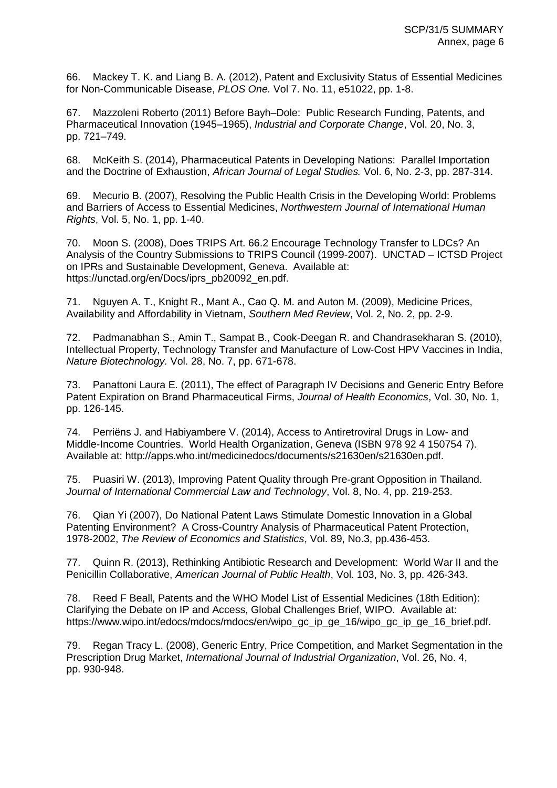66. Mackey T. K. and Liang B. A. (2012), Patent and Exclusivity Status of Essential Medicines for Non-Communicable Disease, *PLOS One.* Vol 7. No. 11, e51022, pp. 1-8.

67. Mazzoleni Roberto (2011) Before Bayh–Dole: Public Research Funding, Patents, and Pharmaceutical Innovation (1945–1965), *Industrial and Corporate Change*, Vol. 20, No. 3, pp. 721–749.

68. McKeith S. (2014), Pharmaceutical Patents in Developing Nations: Parallel Importation and the Doctrine of Exhaustion, *African Journal of Legal Studies.* Vol. 6, No. 2-3, pp. 287-314.

69. Mecurio B. (2007), Resolving the Public Health Crisis in the Developing World: Problems and Barriers of Access to Essential Medicines, *Northwestern Journal of International Human Rights*, Vol. 5, No. 1, pp. 1-40.

70. Moon S. (2008), Does TRIPS Art. 66.2 Encourage Technology Transfer to LDCs? An Analysis of the Country Submissions to TRIPS Council (1999-2007). UNCTAD – ICTSD Project on IPRs and Sustainable Development, Geneva. Available at: https://unctad.org/en/Docs/iprs\_pb20092\_en.pdf.

71. Nguyen A. T., Knight R., Mant A., Cao Q. M. and Auton M. (2009), Medicine Prices, Availability and Affordability in Vietnam, *Southern Med Review*, Vol. 2, No. 2, pp. 2-9.

72. Padmanabhan S., Amin T., Sampat B., Cook-Deegan R. and Chandrasekharan S. (2010), Intellectual Property, Technology Transfer and Manufacture of Low-Cost HPV Vaccines in India, *Nature Biotechnology.* Vol. 28, No. 7, pp. 671-678.

73. Panattoni Laura E. (2011), The effect of Paragraph IV Decisions and Generic Entry Before Patent Expiration on Brand Pharmaceutical Firms, *Journal of Health Economics*, Vol. 30, No. 1, pp. 126-145.

74. Perriëns J. and Habiyambere V. (2014), Access to Antiretroviral Drugs in Low- and Middle-Income Countries. World Health Organization, Geneva (ISBN 978 92 4 150754 7). Available at: http://apps.who.int/medicinedocs/documents/s21630en/s21630en.pdf.

75. Puasiri W. (2013), Improving Patent Quality through Pre-grant Opposition in Thailand. *Journal of International Commercial Law and Technology*, Vol. 8, No. 4, pp. 219-253.

76. Qian Yi (2007), Do National Patent Laws Stimulate Domestic Innovation in a Global Patenting Environment? A Cross-Country Analysis of Pharmaceutical Patent Protection, 1978-2002, *The Review of Economics and Statistics*, Vol. 89, No.3, pp.436-453.

77. Quinn R. (2013), Rethinking Antibiotic Research and Development: World War II and the Penicillin Collaborative, *American Journal of Public Health*, Vol. 103, No. 3, pp. 426-343.

78. Reed F Beall, Patents and the WHO Model List of Essential Medicines (18th Edition): Clarifying the Debate on IP and Access, Global Challenges Brief, WIPO. Available at: https://www.wipo.int/edocs/mdocs/mdocs/en/wipo\_gc\_ip\_ge\_16/wipo\_gc\_ip\_ge\_16\_brief.pdf.

79. Regan Tracy L. (2008), Generic Entry, Price Competition, and Market Segmentation in the Prescription Drug Market, *International Journal of Industrial Organization*, Vol. 26, No. 4, pp. 930-948.